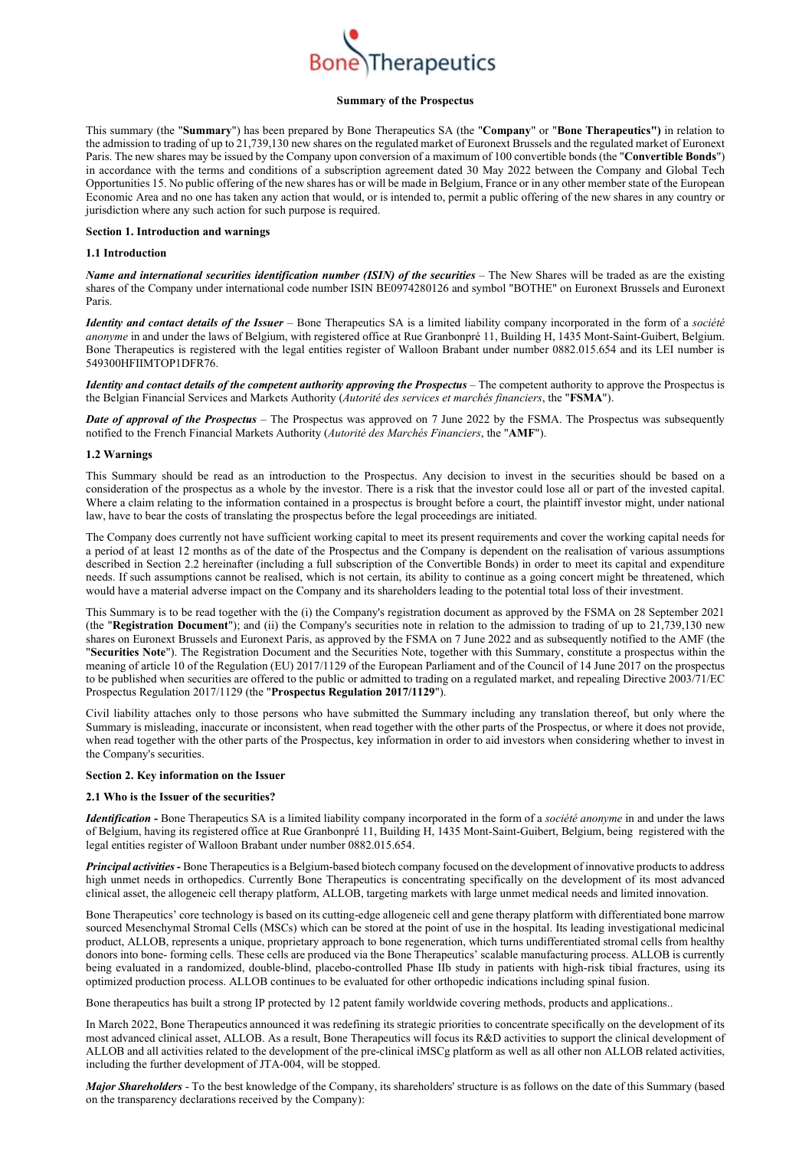

#### **Summary of the Prospectus**

This summary (the "**Summary**") has been prepared by Bone Therapeutics SA (the "**Company**" or "**Bone Therapeutics")** in relation to the admission to trading of up to 21,739,130 new shares on the regulated market of Euronext Brussels and the regulated market of Euronext Paris. The new shares may be issued by the Company upon conversion of a maximum of 100 convertible bonds (the "**Convertible Bonds**") in accordance with the terms and conditions of a subscription agreement dated 30 May 2022 between the Company and Global Tech Opportunities 15. No public offering of the new shares has or will be made in Belgium, France or in any other member state of the European Economic Area and no one has taken any action that would, or is intended to, permit a public offering of the new shares in any country or jurisdiction where any such action for such purpose is required.

#### **Section 1. Introduction and warnings**

#### **1.1 Introduction**

*Name and international securities identification number (ISIN) of the securities* – The New Shares will be traded as are the existing shares of the Company under international code number ISIN BE0974280126 and symbol "BOTHE" on Euronext Brussels and Euronext Paris.

*Identity and contact details of the Issuer* – Bone Therapeutics SA is a limited liability company incorporated in the form of a *société anonyme* in and under the laws of Belgium, with registered office at Rue Granbonpré 11, Building H, 1435 Mont-Saint-Guibert, Belgium. Bone Therapeutics is registered with the legal entities register of Walloon Brabant under number 0882.015.654 and its LEI number is 549300HFIIMTOP1DFR76.

*Identity and contact details of the competent authority approving the Prospectus* – The competent authority to approve the Prospectus is the Belgian Financial Services and Markets Authority (*Autorité des services et marchés financiers*, the "**FSMA**").

*Date of approval of the Prospectus* – The Prospectus was approved on 7 June 2022 by the FSMA. The Prospectus was subsequently notified to the French Financial Markets Authority (*Autorité des Marchés Financiers*, the "**AMF**").

#### **1.2 Warnings**

This Summary should be read as an introduction to the Prospectus. Any decision to invest in the securities should be based on a consideration of the prospectus as a whole by the investor. There is a risk that the investor could lose all or part of the invested capital. Where a claim relating to the information contained in a prospectus is brought before a court, the plaintiff investor might, under national law, have to bear the costs of translating the prospectus before the legal proceedings are initiated.

The Company does currently not have sufficient working capital to meet its present requirements and cover the working capital needs for a period of at least 12 months as of the date of the Prospectus and the Company is dependent on the realisation of various assumptions described in Section 2.2 hereinafter (including a full subscription of the Convertible Bonds) in order to meet its capital and expenditure needs. If such assumptions cannot be realised, which is not certain, its ability to continue as a going concert might be threatened, which would have a material adverse impact on the Company and its shareholders leading to the potential total loss of their investment.

This Summary is to be read together with the (i) the Company's registration document as approved by the FSMA on 28 September 2021 (the "**Registration Document**"); and (ii) the Company's securities note in relation to the admission to trading of up to 21,739,130 new shares on Euronext Brussels and Euronext Paris, as approved by the FSMA on 7 June 2022 and as subsequently notified to the AMF (the "**Securities Note**"). The Registration Document and the Securities Note, together with this Summary, constitute a prospectus within the meaning of article 10 of the Regulation (EU) 2017/1129 of the European Parliament and of the Council of 14 June 2017 on the prospectus to be published when securities are offered to the public or admitted to trading on a regulated market, and repealing Directive 2003/71/EC Prospectus Regulation 2017/1129 (the "**Prospectus Regulation 2017/1129**").

Civil liability attaches only to those persons who have submitted the Summary including any translation thereof, but only where the Summary is misleading, inaccurate or inconsistent, when read together with the other parts of the Prospectus, or where it does not provide, when read together with the other parts of the Prospectus, key information in order to aid investors when considering whether to invest in the Company's securities.

#### **Section 2. Key information on the Issuer**

# **2.1 Who is the Issuer of the securities?**

*Identification* **-** Bone Therapeutics SA is a limited liability company incorporated in the form of a *société anonyme* in and under the laws of Belgium, having its registered office at Rue Granbonpré 11, Building H, 1435 Mont-Saint-Guibert, Belgium, being registered with the legal entities register of Walloon Brabant under number 0882.015.654.

*Principal activities* **-** Bone Therapeutics is a Belgium-based biotech company focused on the development of innovative products to address high unmet needs in orthopedics. Currently Bone Therapeutics is concentrating specifically on the development of its most advanced clinical asset, the allogeneic cell therapy platform, ALLOB, targeting markets with large unmet medical needs and limited innovation.

Bone Therapeutics' core technology is based on its cutting-edge allogeneic cell and gene therapy platform with differentiated bone marrow sourced Mesenchymal Stromal Cells (MSCs) which can be stored at the point of use in the hospital. Its leading investigational medicinal product, ALLOB, represents a unique, proprietary approach to bone regeneration, which turns undifferentiated stromal cells from healthy donors into bone- forming cells. These cells are produced via the Bone Therapeutics' scalable manufacturing process. ALLOB is currently being evaluated in a randomized, double-blind, placebo-controlled Phase IIb study in patients with high-risk tibial fractures, using its optimized production process. ALLOB continues to be evaluated for other orthopedic indications including spinal fusion.

Bone therapeutics has built a strong IP protected by 12 patent family worldwide covering methods, products and applications..

In March 2022, Bone Therapeutics announced it was redefining its strategic priorities to concentrate specifically on the development of its most advanced clinical asset, ALLOB. As a result, Bone Therapeutics will focus its R&D activities to support the clinical development of ALLOB and all activities related to the development of the pre-clinical iMSCg platform as well as all other non ALLOB related activities, including the further development of JTA-004, will be stopped.

*Major Shareholders* - To the best knowledge of the Company, its shareholders' structure is as follows on the date of this Summary (based on the transparency declarations received by the Company):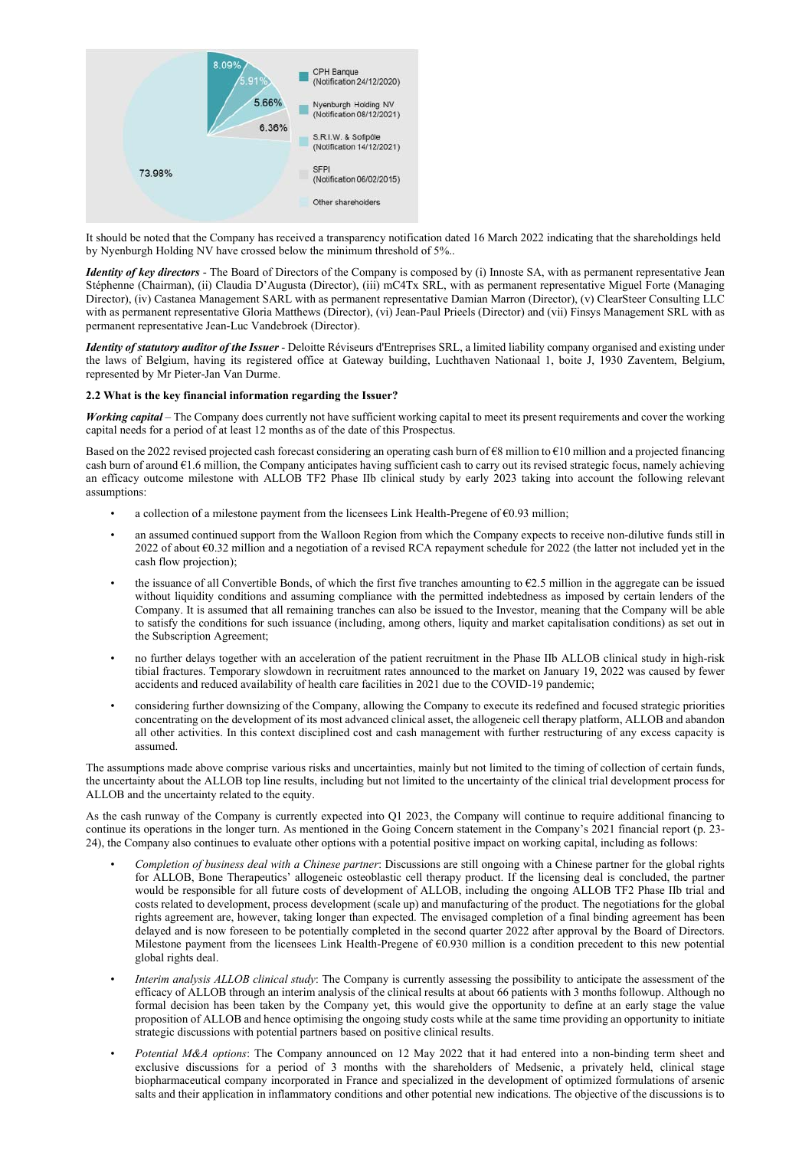

It should be noted that the Company has received a transparency notification dated 16 March 2022 indicating that the shareholdings held by Nyenburgh Holding NV have crossed below the minimum threshold of 5%..

*Identity of key directors* - The Board of Directors of the Company is composed by (i) Innoste SA, with as permanent representative Jean Stéphenne (Chairman), (ii) Claudia D'Augusta (Director), (iii) mC4Tx SRL, with as permanent representative Miguel Forte (Managing Director), (iv) Castanea Management SARL with as permanent representative Damian Marron (Director), (v) ClearSteer Consulting LLC with as permanent representative Gloria Matthews (Director), (vi) Jean-Paul Prieels (Director) and (vii) Finsys Management SRL with as permanent representative Jean-Luc Vandebroek (Director).

*Identity of statutory auditor of the Issuer* - Deloitte Réviseurs d'Entreprises SRL, a limited liability company organised and existing under the laws of Belgium, having its registered office at Gateway building, Luchthaven Nationaal 1, boite J, 1930 Zaventem, Belgium, represented by Mr Pieter-Jan Van Durme.

# **2.2 What is the key financial information regarding the Issuer?**

*Working capital* – The Company does currently not have sufficient working capital to meet its present requirements and cover the working capital needs for a period of at least 12 months as of the date of this Prospectus.

Based on the 2022 revised projected cash forecast considering an operating cash burn of €8 million to €10 million and a projected financing cash burn of around €1.6 million, the Company anticipates having sufficient cash to carry out its revised strategic focus, namely achieving an efficacy outcome milestone with ALLOB TF2 Phase IIb clinical study by early 2023 taking into account the following relevant assumptions:

- a collection of a milestone payment from the licensees Link Health-Pregene of  $\epsilon$ 0.93 million;
- an assumed continued support from the Walloon Region from which the Company expects to receive non-dilutive funds still in 2022 of about €0.32 million and a negotiation of a revised RCA repayment schedule for 2022 (the latter not included yet in the cash flow projection);
- the issuance of all Convertible Bonds, of which the first five tranches amounting to €2.5 million in the aggregate can be issued without liquidity conditions and assuming compliance with the permitted indebtedness as imposed by certain lenders of the Company. It is assumed that all remaining tranches can also be issued to the Investor, meaning that the Company will be able to satisfy the conditions for such issuance (including, among others, liquity and market capitalisation conditions) as set out in the Subscription Agreement;
- no further delays together with an acceleration of the patient recruitment in the Phase IIb ALLOB clinical study in high-risk tibial fractures. Temporary slowdown in recruitment rates announced to the market on January 19, 2022 was caused by fewer accidents and reduced availability of health care facilities in 2021 due to the COVID-19 pandemic;
- considering further downsizing of the Company, allowing the Company to execute its redefined and focused strategic priorities concentrating on the development of its most advanced clinical asset, the allogeneic cell therapy platform, ALLOB and abandon all other activities. In this context disciplined cost and cash management with further restructuring of any excess capacity is assumed.

The assumptions made above comprise various risks and uncertainties, mainly but not limited to the timing of collection of certain funds, the uncertainty about the ALLOB top line results, including but not limited to the uncertainty of the clinical trial development process for ALLOB and the uncertainty related to the equity.

As the cash runway of the Company is currently expected into Q1 2023, the Company will continue to require additional financing to continue its operations in the longer turn. As mentioned in the Going Concern statement in the Company's 2021 financial report (p. 23- 24), the Company also continues to evaluate other options with a potential positive impact on working capital, including as follows:

- *Completion of business deal with a Chinese partner*: Discussions are still ongoing with a Chinese partner for the global rights for ALLOB, Bone Therapeutics' allogeneic osteoblastic cell therapy product. If the licensing deal is concluded, the partner would be responsible for all future costs of development of ALLOB, including the ongoing ALLOB TF2 Phase IIb trial and costs related to development, process development (scale up) and manufacturing of the product. The negotiations for the global rights agreement are, however, taking longer than expected. The envisaged completion of a final binding agreement has been delayed and is now foreseen to be potentially completed in the second quarter 2022 after approval by the Board of Directors. Milestone payment from the licensees Link Health-Pregene of  $60.930$  million is a condition precedent to this new potential global rights deal.
- *Interim analysis ALLOB clinical study*: The Company is currently assessing the possibility to anticipate the assessment of the efficacy of ALLOB through an interim analysis of the clinical results at about 66 patients with 3 months followup. Although no formal decision has been taken by the Company yet, this would give the opportunity to define at an early stage the value proposition of ALLOB and hence optimising the ongoing study costs while at the same time providing an opportunity to initiate strategic discussions with potential partners based on positive clinical results.
- *Potential M&A options*: The Company announced on 12 May 2022 that it had entered into a non-binding term sheet and exclusive discussions for a period of 3 months with the shareholders of Medsenic, a privately held, clinical stage biopharmaceutical company incorporated in France and specialized in the development of optimized formulations of arsenic salts and their application in inflammatory conditions and other potential new indications. The objective of the discussions is to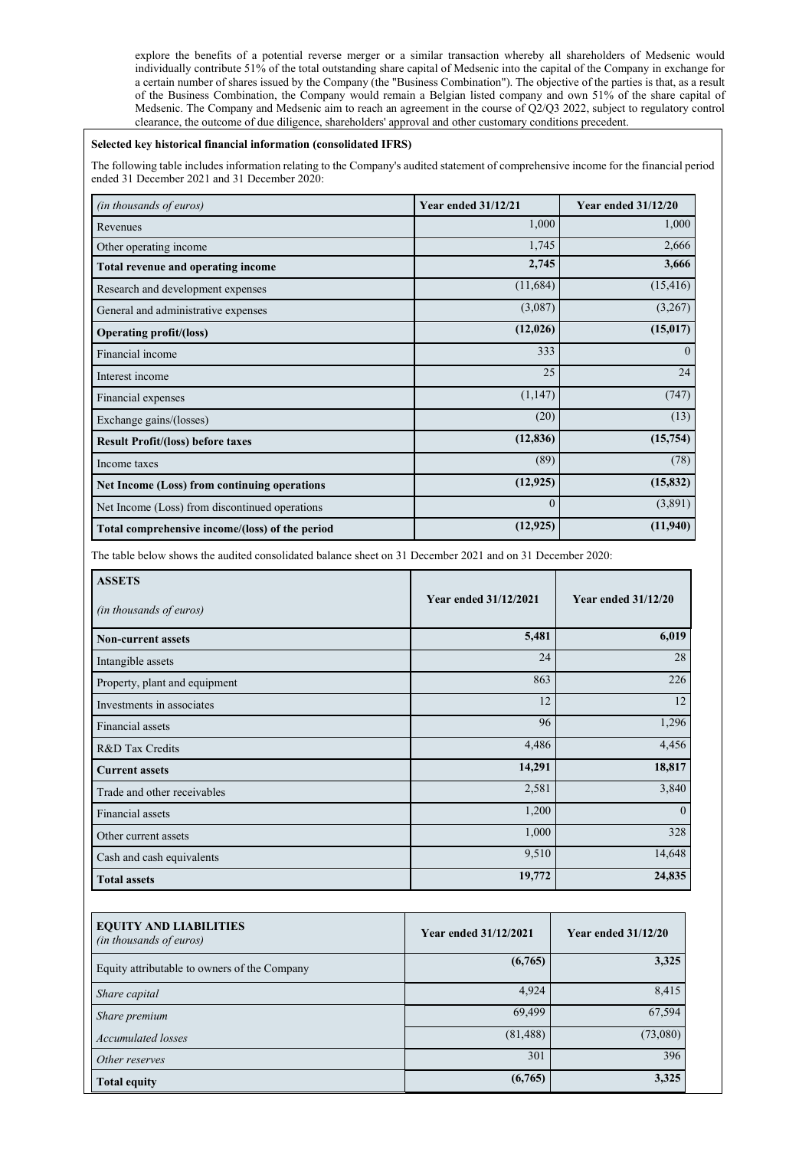explore the benefits of a potential reverse merger or a similar transaction whereby all shareholders of Medsenic would individually contribute 51% of the total outstanding share capital of Medsenic into the capital of the Company in exchange for a certain number of shares issued by the Company (the "Business Combination"). The objective of the parties is that, as a result of the Business Combination, the Company would remain a Belgian listed company and own 51% of the share capital of Medsenic. The Company and Medsenic aim to reach an agreement in the course of Q2/Q3 2022, subject to regulatory control clearance, the outcome of due diligence, shareholders' approval and other customary conditions precedent.

# **Selected key historical financial information (consolidated IFRS)**

The following table includes information relating to the Company's audited statement of comprehensive income for the financial period ended 31 December 2021 and 31 December 2020:

| <i>(in thousands of euros)</i>                  | <b>Year ended 31/12/21</b> | <b>Year ended 31/12/20</b> |
|-------------------------------------------------|----------------------------|----------------------------|
| Revenues                                        | 1,000                      | 1,000                      |
| Other operating income                          | 1,745                      | 2,666                      |
| Total revenue and operating income              | 2,745                      | 3,666                      |
| Research and development expenses               | (11,684)                   | (15, 416)                  |
| General and administrative expenses             | (3,087)                    | (3,267)                    |
| <b>Operating profit/(loss)</b>                  | (12,026)                   | (15, 017)                  |
| Financial income                                | 333                        | $\theta$                   |
| Interest income                                 | 25                         | 24                         |
| Financial expenses                              | (1,147)                    | (747)                      |
| Exchange gains/(losses)                         | (20)                       | (13)                       |
| <b>Result Profit/(loss) before taxes</b>        | (12, 836)                  | (15,754)                   |
| Income taxes                                    | (89)                       | (78)                       |
| Net Income (Loss) from continuing operations    | (12, 925)                  | (15, 832)                  |
| Net Income (Loss) from discontinued operations  | $\Omega$                   | (3,891)                    |
| Total comprehensive income/(loss) of the period | (12, 925)                  | (11,940)                   |

The table below shows the audited consolidated balance sheet on 31 December 2021 and on 31 December 2020:

| <b>ASSETS</b>                 |                              |                       |
|-------------------------------|------------------------------|-----------------------|
| (in thousands of euros)       | <b>Year ended 31/12/2021</b> | Year ended $31/12/20$ |
| <b>Non-current assets</b>     | 5,481                        | 6,019                 |
| Intangible assets             | 24                           | 28                    |
| Property, plant and equipment | 863                          | 226                   |
| Investments in associates     | 12                           | 12                    |
| Financial assets              | 96                           | 1,296                 |
| R&D Tax Credits               | 4,486                        | 4,456                 |
| <b>Current assets</b>         | 14,291                       | 18,817                |
| Trade and other receivables   | 2,581                        | 3,840                 |
| Financial assets              | 1,200                        | $\Omega$              |
| Other current assets          | 1,000                        | 328                   |
| Cash and cash equivalents     | 9,510                        | 14,648                |
| <b>Total assets</b>           | 19,772                       | 24,835                |

| <b>EQUITY AND LIABILITIES</b><br>(in thousands of euros) | <b>Year ended 31/12/2021</b> | Year ended $31/12/20$ |
|----------------------------------------------------------|------------------------------|-----------------------|
| Equity attributable to owners of the Company             | (6,765)                      | 3,325                 |
| Share capital                                            | 4,924                        | 8,415                 |
| Share premium                                            | 69,499                       | 67,594                |
| <b>Accumulated</b> losses                                | (81, 488)                    | (73,080)              |
| Other reserves                                           | 301                          | 396                   |
| <b>Total equity</b>                                      | (6,765)                      | 3,325                 |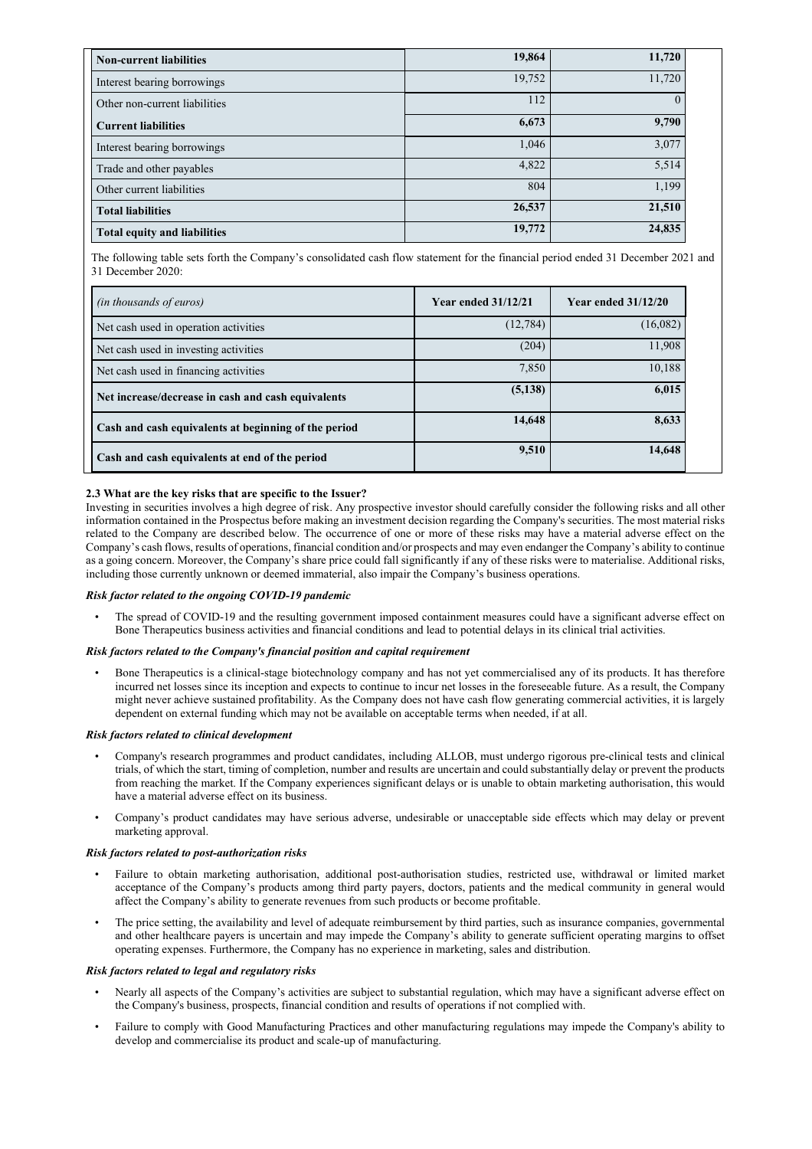| <b>Non-current liabilities</b>      | 19,864 | 11,720   |
|-------------------------------------|--------|----------|
| Interest bearing borrowings         | 19,752 | 11,720   |
| Other non-current liabilities       | 112    | $\theta$ |
| <b>Current liabilities</b>          | 6,673  | 9,790    |
| Interest bearing borrowings         | 1,046  | 3,077    |
| Trade and other payables            | 4,822  | 5,514    |
| Other current liabilities           | 804    | 1,199    |
| <b>Total liabilities</b>            | 26,537 | 21,510   |
| <b>Total equity and liabilities</b> | 19,772 | 24,835   |

The following table sets forth the Company's consolidated cash flow statement for the financial period ended 31 December 2021 and 31 December 2020:

| <i>(in thousands of euros)</i>                       | <b>Year ended 31/12/21</b> | Year ended $31/12/20$ |
|------------------------------------------------------|----------------------------|-----------------------|
| Net cash used in operation activities                | (12, 784)                  | (16,082)              |
| Net cash used in investing activities                | (204)                      | 11,908                |
| Net cash used in financing activities                | 7,850                      | 10,188                |
| Net increase/decrease in cash and cash equivalents   | (5, 138)                   | 6,015                 |
| Cash and cash equivalents at beginning of the period | 14,648                     | 8,633                 |
| Cash and cash equivalents at end of the period       | 9,510                      | 14,648                |

# **2.3 What are the key risks that are specific to the Issuer?**

Investing in securities involves a high degree of risk. Any prospective investor should carefully consider the following risks and all other information contained in the Prospectus before making an investment decision regarding the Company's securities. The most material risks related to the Company are described below. The occurrence of one or more of these risks may have a material adverse effect on the Company's cash flows, results of operations, financial condition and/or prospects and may even endanger the Company's ability to continue as a going concern. Moreover, the Company's share price could fall significantly if any of these risks were to materialise. Additional risks, including those currently unknown or deemed immaterial, also impair the Company's business operations.

#### *Risk factor related to the ongoing COVID-19 pandemic*

The spread of COVID-19 and the resulting government imposed containment measures could have a significant adverse effect on Bone Therapeutics business activities and financial conditions and lead to potential delays in its clinical trial activities.

# *Risk factors related to the Company's financial position and capital requirement*

• Bone Therapeutics is a clinical-stage biotechnology company and has not yet commercialised any of its products. It has therefore incurred net losses since its inception and expects to continue to incur net losses in the foreseeable future. As a result, the Company might never achieve sustained profitability. As the Company does not have cash flow generating commercial activities, it is largely dependent on external funding which may not be available on acceptable terms when needed, if at all.

#### *Risk factors related to clinical development*

- Company's research programmes and product candidates, including ALLOB, must undergo rigorous pre-clinical tests and clinical trials, of which the start, timing of completion, number and results are uncertain and could substantially delay or prevent the products from reaching the market. If the Company experiences significant delays or is unable to obtain marketing authorisation, this would have a material adverse effect on its business.
- Company's product candidates may have serious adverse, undesirable or unacceptable side effects which may delay or prevent marketing approval.

#### *Risk factors related to post-authorization risks*

- Failure to obtain marketing authorisation, additional post-authorisation studies, restricted use, withdrawal or limited market acceptance of the Company's products among third party payers, doctors, patients and the medical community in general would affect the Company's ability to generate revenues from such products or become profitable.
- The price setting, the availability and level of adequate reimbursement by third parties, such as insurance companies, governmental and other healthcare payers is uncertain and may impede the Company's ability to generate sufficient operating margins to offset operating expenses. Furthermore, the Company has no experience in marketing, sales and distribution.

#### *Risk factors related to legal and regulatory risks*

- Nearly all aspects of the Company's activities are subject to substantial regulation, which may have a significant adverse effect on the Company's business, prospects, financial condition and results of operations if not complied with.
- Failure to comply with Good Manufacturing Practices and other manufacturing regulations may impede the Company's ability to develop and commercialise its product and scale-up of manufacturing.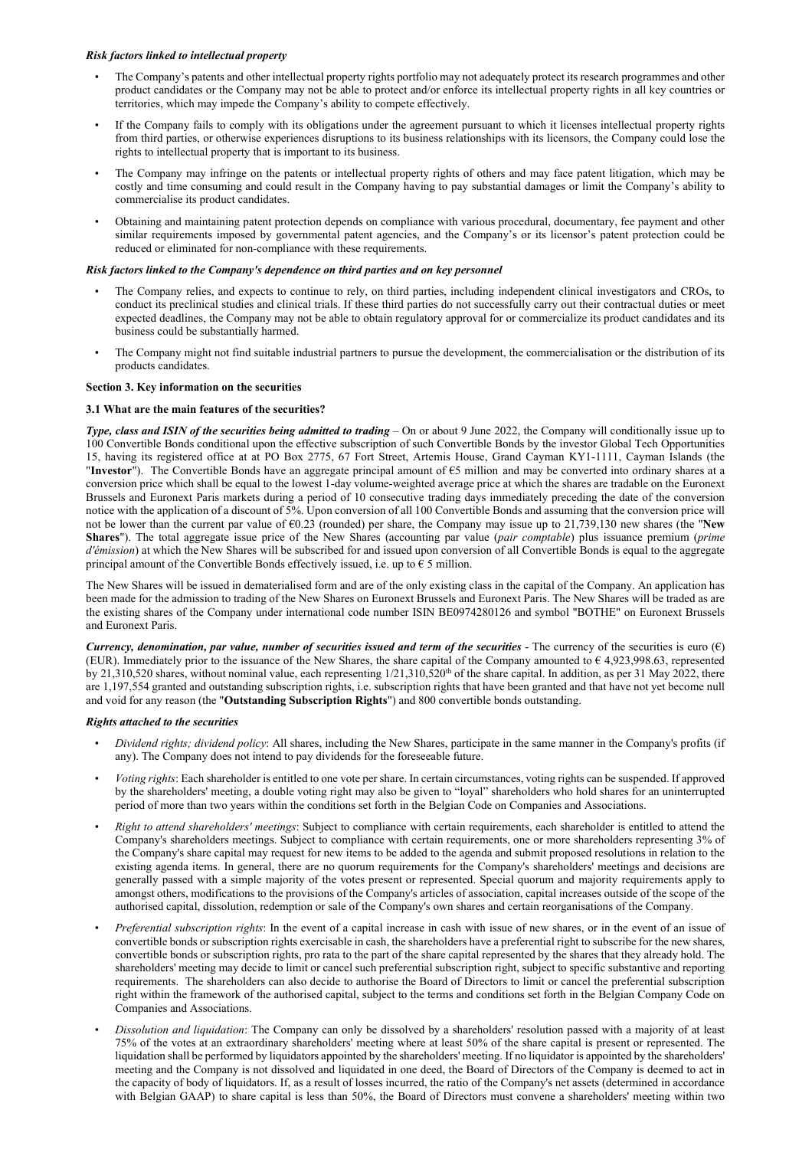# *Risk factors linked to intellectual property*

- The Company's patents and other intellectual property rights portfolio may not adequately protect its research programmes and other product candidates or the Company may not be able to protect and/or enforce its intellectual property rights in all key countries or territories, which may impede the Company's ability to compete effectively.
- If the Company fails to comply with its obligations under the agreement pursuant to which it licenses intellectual property rights from third parties, or otherwise experiences disruptions to its business relationships with its licensors, the Company could lose the rights to intellectual property that is important to its business.
- The Company may infringe on the patents or intellectual property rights of others and may face patent litigation, which may be costly and time consuming and could result in the Company having to pay substantial damages or limit the Company's ability to commercialise its product candidates.
- Obtaining and maintaining patent protection depends on compliance with various procedural, documentary, fee payment and other similar requirements imposed by governmental patent agencies, and the Company's or its licensor's patent protection could be reduced or eliminated for non-compliance with these requirements.

### *Risk factors linked to the Company's dependence on third parties and on key personnel*

- The Company relies, and expects to continue to rely, on third parties, including independent clinical investigators and CROs, to conduct its preclinical studies and clinical trials. If these third parties do not successfully carry out their contractual duties or meet expected deadlines, the Company may not be able to obtain regulatory approval for or commercialize its product candidates and its business could be substantially harmed.
- The Company might not find suitable industrial partners to pursue the development, the commercialisation or the distribution of its products candidates.

# **Section 3. Key information on the securities**

# **3.1 What are the main features of the securities?**

*Type, class and ISIN of the securities being admitted to trading* – On or about 9 June 2022, the Company will conditionally issue up to 100 Convertible Bonds conditional upon the effective subscription of such Convertible Bonds by the investor Global Tech Opportunities 15, having its registered office at at PO Box 2775, 67 Fort Street, Artemis House, Grand Cayman KY1-1111, Cayman Islands (the "**Investor**"). The Convertible Bonds have an aggregate principal amount of €5 million and may be converted into ordinary shares at a conversion price which shall be equal to the lowest 1-day volume-weighted average price at which the shares are tradable on the Euronext Brussels and Euronext Paris markets during a period of 10 consecutive trading days immediately preceding the date of the conversion notice with the application of a discount of 5%. Upon conversion of all 100 Convertible Bonds and assuming that the conversion price will not be lower than the current par value of €0.23 (rounded) per share, the Company may issue up to 21,739,130 new shares (the "**New Shares**"). The total aggregate issue price of the New Shares (accounting par value (*pair comptable*) plus issuance premium (*prime d'émission*) at which the New Shares will be subscribed for and issued upon conversion of all Convertible Bonds is equal to the aggregate principal amount of the Convertible Bonds effectively issued, i.e. up to  $\epsilon$  5 million.

The New Shares will be issued in dematerialised form and are of the only existing class in the capital of the Company. An application has been made for the admission to trading of the New Shares on Euronext Brussels and Euronext Paris. The New Shares will be traded as are the existing shares of the Company under international code number ISIN BE0974280126 and symbol "BOTHE" on Euronext Brussels and Euronext Paris.

*Currency, denomination, par value, number of securities issued and term of the securities* - The currency of the securities is euro  $(\epsilon)$ (EUR). Immediately prior to the issuance of the New Shares, the share capital of the Company amounted to € 4,923,998.63, represented by 21,310,520 shares, without nominal value, each representing  $1/21,310,520$ <sup>th</sup> of the share capital. In addition, as per 31 May 2022, there are 1,197,554 granted and outstanding subscription rights, i.e. subscription rights that have been granted and that have not yet become null and void for any reason (the "**Outstanding Subscription Rights**") and 800 convertible bonds outstanding.

### *Rights attached to the securities*

- *Dividend rights; dividend policy*: All shares, including the New Shares, participate in the same manner in the Company's profits (if any). The Company does not intend to pay dividends for the foreseeable future.
- *Voting rights*: Each shareholder is entitled to one vote per share. In certain circumstances, voting rights can be suspended. If approved by the shareholders' meeting, a double voting right may also be given to "loyal" shareholders who hold shares for an uninterrupted period of more than two years within the conditions set forth in the Belgian Code on Companies and Associations.
- *Right to attend shareholders' meetings*: Subject to compliance with certain requirements, each shareholder is entitled to attend the Company's shareholders meetings. Subject to compliance with certain requirements, one or more shareholders representing 3% of the Company's share capital may request for new items to be added to the agenda and submit proposed resolutions in relation to the existing agenda items. In general, there are no quorum requirements for the Company's shareholders' meetings and decisions are generally passed with a simple majority of the votes present or represented. Special quorum and majority requirements apply to amongst others, modifications to the provisions of the Company's articles of association, capital increases outside of the scope of the authorised capital, dissolution, redemption or sale of the Company's own shares and certain reorganisations of the Company.
- *Preferential subscription rights*: In the event of a capital increase in cash with issue of new shares, or in the event of an issue of convertible bonds or subscription rights exercisable in cash, the shareholders have a preferential right to subscribe for the new shares, convertible bonds or subscription rights, pro rata to the part of the share capital represented by the shares that they already hold. The shareholders' meeting may decide to limit or cancel such preferential subscription right, subject to specific substantive and reporting requirements. The shareholders can also decide to authorise the Board of Directors to limit or cancel the preferential subscription right within the framework of the authorised capital, subject to the terms and conditions set forth in the Belgian Company Code on Companies and Associations.
- *Dissolution and liquidation*: The Company can only be dissolved by a shareholders' resolution passed with a majority of at least 75% of the votes at an extraordinary shareholders' meeting where at least 50% of the share capital is present or represented. The liquidation shall be performed by liquidators appointed by the shareholders' meeting. If no liquidator is appointed by the shareholders' meeting and the Company is not dissolved and liquidated in one deed, the Board of Directors of the Company is deemed to act in the capacity of body of liquidators. If, as a result of losses incurred, the ratio of the Company's net assets (determined in accordance with Belgian GAAP) to share capital is less than 50%, the Board of Directors must convene a shareholders' meeting within two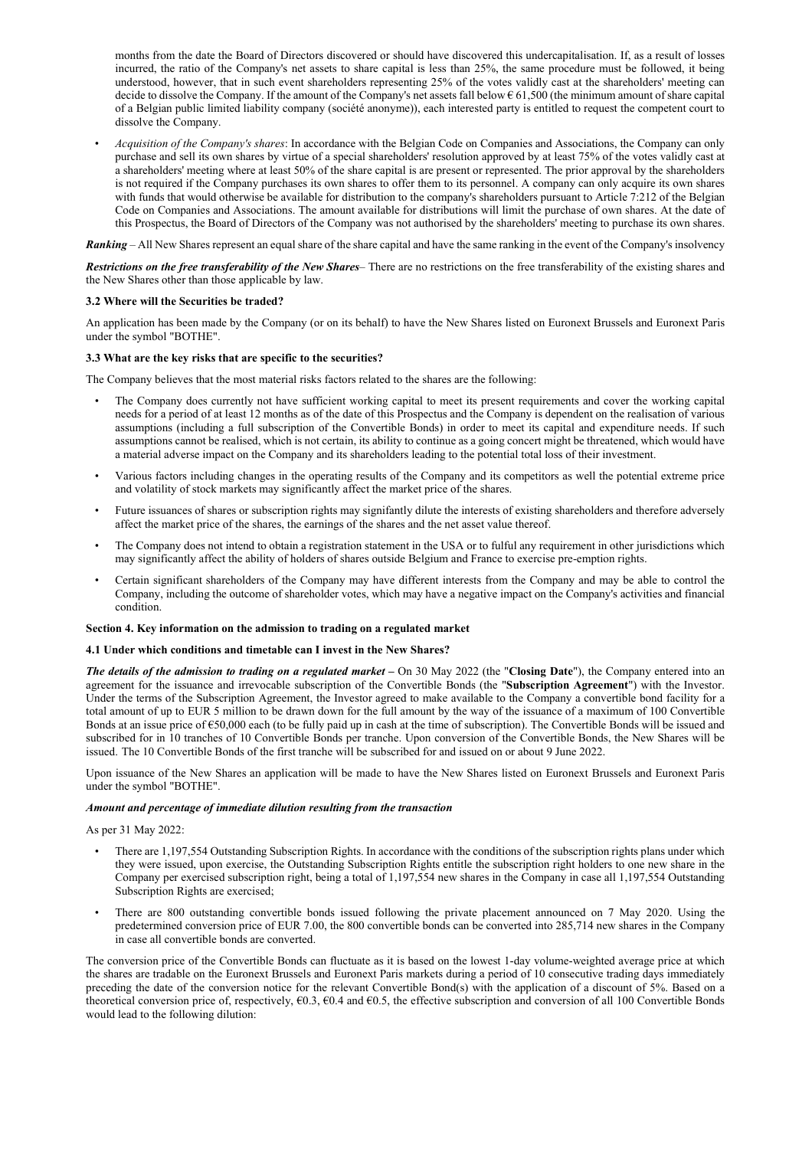months from the date the Board of Directors discovered or should have discovered this undercapitalisation. If, as a result of losses incurred, the ratio of the Company's net assets to share capital is less than 25%, the same procedure must be followed, it being understood, however, that in such event shareholders representing 25% of the votes validly cast at the shareholders' meeting can decide to dissolve the Company. If the amount of the Company's net assets fall below  $\epsilon$  61,500 (the minimum amount of share capital of a Belgian public limited liability company (société anonyme)), each interested party is entitled to request the competent court to dissolve the Company.

• *Acquisition of the Company's shares*: In accordance with the Belgian Code on Companies and Associations, the Company can only purchase and sell its own shares by virtue of a special shareholders' resolution approved by at least 75% of the votes validly cast at a shareholders' meeting where at least 50% of the share capital is are present or represented. The prior approval by the shareholders is not required if the Company purchases its own shares to offer them to its personnel. A company can only acquire its own shares with funds that would otherwise be available for distribution to the company's shareholders pursuant to Article 7:212 of the Belgian Code on Companies and Associations. The amount available for distributions will limit the purchase of own shares. At the date of this Prospectus, the Board of Directors of the Company was not authorised by the shareholders' meeting to purchase its own shares.

*Ranking* – All New Shares represent an equal share of the share capital and have the same ranking in the event of the Company's insolvency

*Restrictions on the free transferability of the New Shares*– There are no restrictions on the free transferability of the existing shares and the New Shares other than those applicable by law.

#### **3.2 Where will the Securities be traded?**

An application has been made by the Company (or on its behalf) to have the New Shares listed on Euronext Brussels and Euronext Paris under the symbol "BOTHE".

#### **3.3 What are the key risks that are specific to the securities?**

The Company believes that the most material risks factors related to the shares are the following:

- The Company does currently not have sufficient working capital to meet its present requirements and cover the working capital needs for a period of at least 12 months as of the date of this Prospectus and the Company is dependent on the realisation of various assumptions (including a full subscription of the Convertible Bonds) in order to meet its capital and expenditure needs. If such assumptions cannot be realised, which is not certain, its ability to continue as a going concert might be threatened, which would have a material adverse impact on the Company and its shareholders leading to the potential total loss of their investment.
- Various factors including changes in the operating results of the Company and its competitors as well the potential extreme price and volatility of stock markets may significantly affect the market price of the shares.
- Future issuances of shares or subscription rights may signifantly dilute the interests of existing shareholders and therefore adversely affect the market price of the shares, the earnings of the shares and the net asset value thereof.
- The Company does not intend to obtain a registration statement in the USA or to fulful any requirement in other jurisdictions which may significantly affect the ability of holders of shares outside Belgium and France to exercise pre-emption rights.
- Certain significant shareholders of the Company may have different interests from the Company and may be able to control the Company, including the outcome of shareholder votes, which may have a negative impact on the Company's activities and financial condition.

#### **Section 4. Key information on the admission to trading on a regulated market**

#### **4.1 Under which conditions and timetable can I invest in the New Shares?**

*The details of the admission to trading on a regulated market* **–** On 30 May 2022 (the "**Closing Date**"), the Company entered into an agreement for the issuance and irrevocable subscription of the Convertible Bonds (the "**Subscription Agreement**") with the Investor. Under the terms of the Subscription Agreement, the Investor agreed to make available to the Company a convertible bond facility for a total amount of up to EUR 5 million to be drawn down for the full amount by the way of the issuance of a maximum of 100 Convertible Bonds at an issue price of €50,000 each (to be fully paid up in cash at the time of subscription). The Convertible Bonds will be issued and subscribed for in 10 tranches of 10 Convertible Bonds per tranche. Upon conversion of the Convertible Bonds, the New Shares will be issued. The 10 Convertible Bonds of the first tranche will be subscribed for and issued on or about 9 June 2022.

Upon issuance of the New Shares an application will be made to have the New Shares listed on Euronext Brussels and Euronext Paris under the symbol "BOTHE".

#### *Amount and percentage of immediate dilution resulting from the transaction*

As per 31 May 2022:

- There are 1,197,554 Outstanding Subscription Rights. In accordance with the conditions of the subscription rights plans under which they were issued, upon exercise, the Outstanding Subscription Rights entitle the subscription right holders to one new share in the Company per exercised subscription right, being a total of 1,197,554 new shares in the Company in case all 1,197,554 Outstanding Subscription Rights are exercised;
- There are 800 outstanding convertible bonds issued following the private placement announced on 7 May 2020. Using the predetermined conversion price of EUR 7.00, the 800 convertible bonds can be converted into 285,714 new shares in the Company in case all convertible bonds are converted.

The conversion price of the Convertible Bonds can fluctuate as it is based on the lowest 1-day volume-weighted average price at which the shares are tradable on the Euronext Brussels and Euronext Paris markets during a period of 10 consecutive trading days immediately preceding the date of the conversion notice for the relevant Convertible Bond(s) with the application of a discount of 5%. Based on a theoretical conversion price of, respectively,  $60.3$ ,  $60.4$  and  $60.5$ , the effective subscription and conversion of all 100 Convertible Bonds would lead to the following dilution: